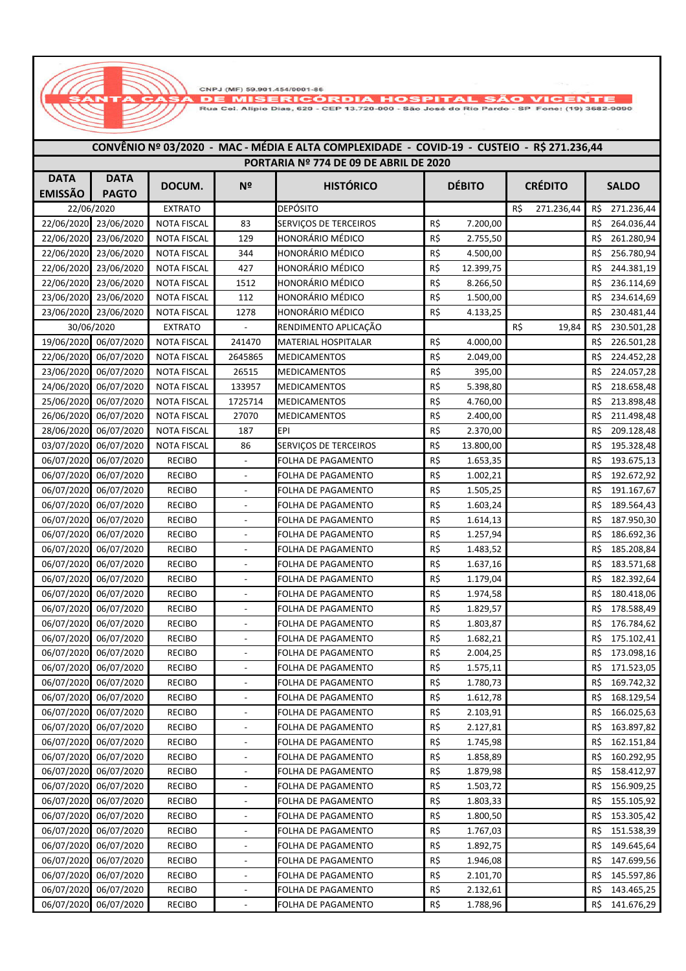--

ANTA

NUMERICÓRDIA HOSPITAL SÃO VICENTE<br>CASA DE MISERICÓRDIA HOSPITAL SÃO VICENTE<br>////// Rua Cel. Alípio Días, 620 - CEP 13.720-000 - São José do Rio Pardo - SP Fone: (19) 3682-9090

| CONVENIO Nº 03/2020 - MAC - MEDIA E ALTA COMPLEXIDADE - COVID-19 - CUSTEIO - RȘ 271.236,44 |                       |                    |                              |                                        |                  |                   |                   |  |  |  |  |
|--------------------------------------------------------------------------------------------|-----------------------|--------------------|------------------------------|----------------------------------------|------------------|-------------------|-------------------|--|--|--|--|
|                                                                                            |                       |                    |                              | PORTARIA Nº 774 DE 09 DE ABRIL DE 2020 |                  |                   |                   |  |  |  |  |
| <b>DATA</b>                                                                                | <b>DATA</b>           | DOCUM.             | N <sup>2</sup>               | <b>HISTÓRICO</b>                       | <b>DÉBITO</b>    | <b>CRÉDITO</b>    |                   |  |  |  |  |
| <b>EMISSÃO</b>                                                                             | <b>PAGTO</b>          |                    |                              |                                        |                  |                   | <b>SALDO</b>      |  |  |  |  |
|                                                                                            | 22/06/2020            | <b>EXTRATO</b>     |                              | <b>DEPÓSITO</b>                        |                  | R\$<br>271.236,44 | 271.236,44<br>R\$ |  |  |  |  |
|                                                                                            | 22/06/2020 23/06/2020 | <b>NOTA FISCAL</b> | 83                           | SERVIÇOS DE TERCEIROS                  | R\$<br>7.200,00  |                   | R\$<br>264.036,44 |  |  |  |  |
| 22/06/2020                                                                                 | 23/06/2020            | <b>NOTA FISCAL</b> | 129                          | HONORÁRIO MÉDICO                       | R\$<br>2.755,50  |                   | 261.280,94<br>R\$ |  |  |  |  |
| 22/06/2020                                                                                 | 23/06/2020            | <b>NOTA FISCAL</b> | 344                          | HONORÁRIO MÉDICO                       | R\$<br>4.500,00  |                   | 256.780,94<br>R\$ |  |  |  |  |
| 22/06/2020                                                                                 | 23/06/2020            | <b>NOTA FISCAL</b> | 427                          | HONORÁRIO MÉDICO                       | R\$<br>12.399,75 |                   | R\$<br>244.381,19 |  |  |  |  |
| 22/06/2020                                                                                 | 23/06/2020            | <b>NOTA FISCAL</b> | 1512                         | HONORÁRIO MÉDICO                       | R\$<br>8.266,50  |                   | 236.114,69<br>R\$ |  |  |  |  |
| 23/06/2020                                                                                 | 23/06/2020            | <b>NOTA FISCAL</b> | 112                          | HONORÁRIO MÉDICO                       | R\$<br>1.500,00  |                   | R\$<br>234.614,69 |  |  |  |  |
| 23/06/2020                                                                                 | 23/06/2020            | <b>NOTA FISCAL</b> | 1278                         | HONORÁRIO MÉDICO                       | R\$<br>4.133,25  |                   | R\$<br>230.481,44 |  |  |  |  |
|                                                                                            | 30/06/2020            | <b>EXTRATO</b>     | $\overline{\phantom{a}}$     | RENDIMENTO APLICAÇÃO                   |                  | R\$<br>19,84      | 230.501,28<br>R\$ |  |  |  |  |
| 19/06/2020                                                                                 | 06/07/2020            | <b>NOTA FISCAL</b> | 241470                       | MATERIAL HOSPITALAR                    | R\$<br>4.000,00  |                   | 226.501,28<br>R\$ |  |  |  |  |
| 22/06/2020                                                                                 | 06/07/2020            | <b>NOTA FISCAL</b> | 2645865                      | <b>MEDICAMENTOS</b>                    | R\$<br>2.049,00  |                   | 224.452,28<br>R\$ |  |  |  |  |
| 23/06/2020                                                                                 | 06/07/2020            | <b>NOTA FISCAL</b> | 26515                        | <b>MEDICAMENTOS</b>                    | R\$<br>395,00    |                   | R\$<br>224.057,28 |  |  |  |  |
| 24/06/2020                                                                                 | 06/07/2020            | <b>NOTA FISCAL</b> | 133957                       | <b>MEDICAMENTOS</b>                    | R\$<br>5.398,80  |                   | R\$<br>218.658,48 |  |  |  |  |
| 25/06/2020                                                                                 | 06/07/2020            | <b>NOTA FISCAL</b> | 1725714                      | <b>MEDICAMENTOS</b>                    | R\$<br>4.760,00  |                   | R\$<br>213.898,48 |  |  |  |  |
| 26/06/2020                                                                                 | 06/07/2020            | <b>NOTA FISCAL</b> | 27070                        | <b>MEDICAMENTOS</b>                    | R\$<br>2.400,00  |                   | R\$<br>211.498,48 |  |  |  |  |
| 28/06/2020                                                                                 | 06/07/2020            | <b>NOTA FISCAL</b> | 187                          | EPI                                    | R\$<br>2.370,00  |                   | R\$<br>209.128,48 |  |  |  |  |
| 03/07/2020                                                                                 | 06/07/2020            | <b>NOTA FISCAL</b> | 86                           | SERVIÇOS DE TERCEIROS                  | R\$<br>13.800,00 |                   | 195.328,48<br>R\$ |  |  |  |  |
| 06/07/2020                                                                                 | 06/07/2020            | <b>RECIBO</b>      | $\overline{\phantom{a}}$     | FOLHA DE PAGAMENTO                     | R\$<br>1.653,35  |                   | 193.675,13<br>R\$ |  |  |  |  |
| 06/07/2020                                                                                 | 06/07/2020            | <b>RECIBO</b>      | $\blacksquare$               | FOLHA DE PAGAMENTO                     | R\$<br>1.002,21  |                   | R\$<br>192.672,92 |  |  |  |  |
| 06/07/2020                                                                                 | 06/07/2020            | <b>RECIBO</b>      | $\overline{a}$               | FOLHA DE PAGAMENTO                     | R\$<br>1.505,25  |                   | R\$<br>191.167,67 |  |  |  |  |
| 06/07/2020                                                                                 | 06/07/2020            | <b>RECIBO</b>      | $\qquad \qquad \blacksquare$ | FOLHA DE PAGAMENTO                     | R\$<br>1.603,24  |                   | R\$<br>189.564,43 |  |  |  |  |
| 06/07/2020                                                                                 | 06/07/2020            | <b>RECIBO</b>      | $\overline{\phantom{a}}$     | FOLHA DE PAGAMENTO                     | R\$<br>1.614,13  |                   | R\$<br>187.950,30 |  |  |  |  |
| 06/07/2020                                                                                 | 06/07/2020            | <b>RECIBO</b>      | $\overline{\phantom{a}}$     | FOLHA DE PAGAMENTO                     | R\$<br>1.257,94  |                   | R\$<br>186.692,36 |  |  |  |  |
| 06/07/2020                                                                                 | 06/07/2020            | <b>RECIBO</b>      | $\overline{\phantom{a}}$     | FOLHA DE PAGAMENTO                     | R\$<br>1.483,52  |                   | 185.208,84<br>R\$ |  |  |  |  |
| 06/07/2020                                                                                 | 06/07/2020            | <b>RECIBO</b>      | $\overline{a}$               | FOLHA DE PAGAMENTO                     | R\$<br>1.637,16  |                   | R\$<br>183.571,68 |  |  |  |  |
| 06/07/2020                                                                                 | 06/07/2020            | <b>RECIBO</b>      | $\overline{\phantom{a}}$     | FOLHA DE PAGAMENTO                     | R\$<br>1.179,04  |                   | 182.392,64<br>R\$ |  |  |  |  |
| 06/07/2020                                                                                 | 06/07/2020            | <b>RECIBO</b>      | $\overline{a}$               | FOLHA DE PAGAMENTO                     | R\$<br>1.974,58  |                   | R\$<br>180.418,06 |  |  |  |  |
| 06/07/2020                                                                                 | 06/07/2020            | <b>RECIBO</b>      | $\overline{a}$               | FOLHA DE PAGAMENTO                     | R\$<br>1.829,57  |                   | 178.588,49<br>R\$ |  |  |  |  |
| 06/07/2020                                                                                 | 06/07/2020            | <b>RECIBO</b>      | $\overline{\phantom{a}}$     | FOLHA DE PAGAMENTO                     | R\$<br>1.803,87  |                   | 176.784,62<br>R\$ |  |  |  |  |
| 06/07/2020                                                                                 | 06/07/2020            | <b>RECIBO</b>      | $\overline{\phantom{a}}$     | FOLHA DE PAGAMENTO                     | R\$<br>1.682,21  |                   | R\$<br>175.102,41 |  |  |  |  |
| 06/07/2020                                                                                 | 06/07/2020            | <b>RECIBO</b>      | $\overline{\phantom{a}}$     | FOLHA DE PAGAMENTO                     | R\$<br>2.004,25  |                   | 173.098,16<br>R\$ |  |  |  |  |
|                                                                                            | 06/07/2020 06/07/2020 | <b>RECIBO</b>      | $\overline{\phantom{a}}$     | FOLHA DE PAGAMENTO                     | R\$<br>1.575,11  |                   | 171.523,05<br>R\$ |  |  |  |  |
| 06/07/2020                                                                                 | 06/07/2020            | <b>RECIBO</b>      | $\frac{1}{2}$                | FOLHA DE PAGAMENTO                     | R\$<br>1.780,73  |                   | 169.742,32<br>R\$ |  |  |  |  |
|                                                                                            | 06/07/2020 06/07/2020 | <b>RECIBO</b>      | $\overline{a}$               | FOLHA DE PAGAMENTO                     | R\$<br>1.612,78  |                   | R\$<br>168.129,54 |  |  |  |  |
|                                                                                            | 06/07/2020 06/07/2020 | <b>RECIBO</b>      | $\frac{1}{2}$                | FOLHA DE PAGAMENTO                     | R\$<br>2.103,91  |                   | 166.025,63<br>R\$ |  |  |  |  |
| 06/07/2020                                                                                 | 06/07/2020            | <b>RECIBO</b>      | $\overline{\phantom{a}}$     | FOLHA DE PAGAMENTO                     | R\$<br>2.127,81  |                   | 163.897,82<br>R\$ |  |  |  |  |
| 06/07/2020                                                                                 | 06/07/2020            | <b>RECIBO</b>      | $\overline{\phantom{a}}$     | FOLHA DE PAGAMENTO                     | R\$<br>1.745,98  |                   | 162.151,84<br>R\$ |  |  |  |  |
| 06/07/2020                                                                                 | 06/07/2020            | <b>RECIBO</b>      | $\overline{\phantom{a}}$     | FOLHA DE PAGAMENTO                     | R\$<br>1.858,89  |                   | 160.292,95<br>R\$ |  |  |  |  |
| 06/07/2020                                                                                 | 06/07/2020            | <b>RECIBO</b>      | $\overline{\phantom{a}}$     | FOLHA DE PAGAMENTO                     | R\$<br>1.879,98  |                   | 158.412,97<br>R\$ |  |  |  |  |
| 06/07/2020                                                                                 | 06/07/2020            | <b>RECIBO</b>      | $\frac{1}{2}$                | FOLHA DE PAGAMENTO                     | R\$<br>1.503,72  |                   | 156.909,25<br>R\$ |  |  |  |  |
|                                                                                            | 06/07/2020 06/07/2020 | <b>RECIBO</b>      | $\overline{a}$               | FOLHA DE PAGAMENTO                     | R\$<br>1.803,33  |                   | R\$<br>155.105,92 |  |  |  |  |
|                                                                                            | 06/07/2020 06/07/2020 | <b>RECIBO</b>      | $\qquad \qquad \blacksquare$ | FOLHA DE PAGAMENTO                     | R\$<br>1.800,50  |                   | R\$<br>153.305,42 |  |  |  |  |
| 06/07/2020                                                                                 | 06/07/2020            | <b>RECIBO</b>      | $\overline{a}$               | FOLHA DE PAGAMENTO                     | R\$<br>1.767,03  |                   | 151.538,39<br>R\$ |  |  |  |  |
| 06/07/2020                                                                                 | 06/07/2020            | <b>RECIBO</b>      | $\blacksquare$               | FOLHA DE PAGAMENTO                     | R\$<br>1.892,75  |                   | R\$<br>149.645,64 |  |  |  |  |
| 06/07/2020                                                                                 | 06/07/2020            | <b>RECIBO</b>      | $\overline{\phantom{0}}$     | FOLHA DE PAGAMENTO                     | R\$<br>1.946,08  |                   | 147.699,56<br>R\$ |  |  |  |  |
| 06/07/2020                                                                                 | 06/07/2020            | <b>RECIBO</b>      | $\overline{\phantom{a}}$     | FOLHA DE PAGAMENTO                     | R\$<br>2.101,70  |                   | 145.597,86<br>R\$ |  |  |  |  |
| 06/07/2020                                                                                 | 06/07/2020            | <b>RECIBO</b>      | $\frac{1}{2}$                | FOLHA DE PAGAMENTO                     | R\$<br>2.132,61  |                   | R\$<br>143.465,25 |  |  |  |  |
|                                                                                            | 06/07/2020 06/07/2020 | <b>RECIBO</b>      | $\qquad \qquad \blacksquare$ | FOLHA DE PAGAMENTO                     | R\$<br>1.788,96  |                   | 141.676,29<br>R\$ |  |  |  |  |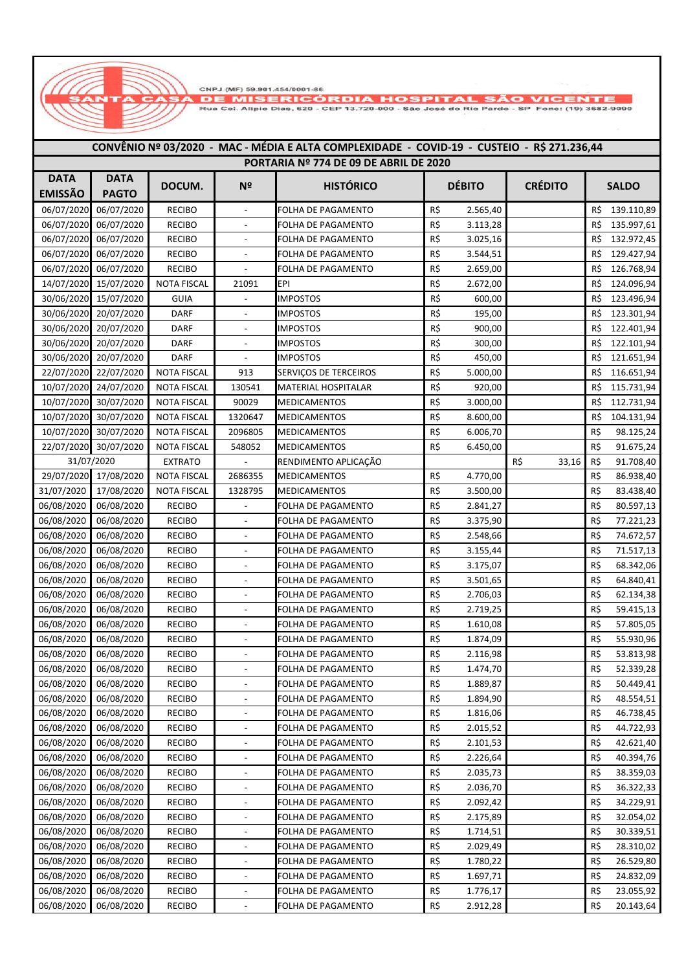CNPJ (MF) 59 901 454/0001-86

**DE MISERICÓRDIA HOSPITAL SÃO VICER** 

Rua Cei. Alípio Dias, 620 - CEP 13.720-000 - São José do Rio Pardo - SP Fone: (19) 3682-9090

## **HISTÓRICO CRÉDITO SALDO DOCUM. Nº DÉBITO** 06/07/2020 06/07/2020 **DATA EMISSÃO DATA PAGTO CONVÊNIO Nº 03/2020 - MAC - MÉDIA E ALTA COMPLEXIDADE - COVID-19 - CUSTEIO - R\$ 271.236,44 PORTARIA Nº 774 DE 09 DE ABRIL DE 2020** RECIBO **CONFERENTA DE PAGAMENTO CONFERENCIA DE 2.565.40** R\$ 2.565.40 R\$ 139.110.89 06/07/2020 06/07/2020 RECIBO - FOLHA DE PAGAMENTO R\$ 3.113,28 R\$ 135.997,61 06/07/2020 06/07/2020 RECIBO - FOLHA DE PAGAMENTO R\$ 3.025,16 R\$ 132.972,45 06/07/2020 06/07/2020 RECIBO | - FOLHA DE PAGAMENTO | R\$ 3.544,51 R\$ 129.427,94 06/07/2020 06/07/2020 RECIBO - FOLHA DE PAGAMENTO R\$ 2.659,00 R\$ 126.768,94 14/07/2020 15/07/2020 NOTA FISCAL 21091 EPI R\$ 2.672,00 R\$ 2.672,00 R\$ 124.096,94 30/06/2020 15/07/2020 GUIA - IMPOSTOS R\$ 600,00 R\$ 123.496,94 30/06/2020 20/07/2020 DARF - IMPOSTOS R\$ 195,00 R\$ 195,00 R\$ 123.301,94 30/06/2020 20/07/2020 DARF - IMPOSTOS R\$ 900,00 R\$ 122.401,94 30/06/2020 20/07/2020 DARF - IMPOSTOS R\$ 300,00 R\$ 122.101,94 30/06/2020 20/07/2020 DARF - IMPOSTOS R\$ 450,00 R\$ 121.651,94 22/07/2020 22/07/2020 NOTA FISCAL 913 SERVIÇOS DE TERCEIROS R\$ 5.000,00 R\$ 116.651,94 10/07/2020 24/07/2020 NOTA FISCAL 130541 MATERIAL HOSPITALAR R\$ 920,00 R\$ 115.731,94 10/07/2020 30/07/2020 NOTA FISCAL 90029 MEDICAMENTOS R\$ 3.000,00 R\$ 112.731,94 10/07/2020 30/07/2020 NOTA FISCAL 1320647 MEDICAMENTOS R\$ 8.600,00 R\$ 104.131,94 10/07/2020 30/07/2020 NOTA FISCAL 2096805 MEDICAMENTOS R\$ 6.006,70 R\$ 98.125,24 22/07/2020 30/07/2020 NOTA FISCAL 548052 MEDICAMENTOS R\$ 6.450,00 R\$ 91.675,24 EXTRATO RENDIMENTO APLICAÇÃO RENDIMENTO APLICAÇÃO R\$ 33,16 R\$ 91.708,40 29/07/2020 17/08/2020 NOTA FISCAL 2686355 MEDICAMENTOS R\$ 4.770,00 R\$ 86.938,40 31/07/2020 17/08/2020 NOTA FISCAL 1328795 MEDICAMENTOS R\$ 3.500,00 R\$ 83.438,40 06/08/2020 06/08/2020 RECIBO - FOLHA DE PAGAMENTO R\$ 2.841,27 R\$ 80.597,13 06/08/2020 06/08/2020 RECIBO - FOLHA DE PAGAMENTO R\$ 3.375,90 R\$ 77.221,23 06/08/2020 06/08/2020 RECIBO - FOLHA DE PAGAMENTO R\$ 2.548,66 R\$ 74.672,57 06/08/2020 06/08/2020 RECIBO - FOLHA DE PAGAMENTO R\$ 3.155.44 R\$ 71.517.13 06/08/2020 06/08/2020 RECIBO - FOLHA DE PAGAMENTO R\$ 3.175,07 R\$ 68.342,06 06/08/2020 06/08/2020 RECIBO - FOLHA DE PAGAMENTO R\$ 3.501,65 R\$ 64.840,41 06/08/2020 06/08/2020 RECIBO - FOLHA DE PAGAMENTO R\$ 2.706,03 R\$ 62.134,38 06/08/2020 06/08/2020 RECIBO - FOLHA DE PAGAMENTO R\$ 2.719,25 R\$ 59.415,13 06/08/2020 06/08/2020 RECIBO - FOLHA DE PAGAMENTO R\$ 1.610,08 R\$ 57.805,05 06/08/2020 06/08/2020 RECIBO - FOLHA DE PAGAMENTO R\$ 1.874.09 R\$ 55.930.96 06/08/2020 06/08/2020 RECIBO - FOLHA DE PAGAMENTO R\$ 2.116,98 R\$ 53.813,98 06/08/2020 06/08/2020 RECIBO - FOLHA DE PAGAMENTO R\$ 1.474,70 R\$ 52.339,28 06/08/2020 06/08/2020 RECIBO - FOLHA DE PAGAMENTO R\$ 1.889.87 R\$ 50.449.41 06/08/2020 06/08/2020 RECIBO - FOLHA DE PAGAMENTO R\$ 1.894,90 R\$ 48.554,51 06/08/2020 06/08/2020 RECIBO - FOLHA DE PAGAMENTO R\$ 1.816,06 R\$ 46.738,45 06/08/2020 06/08/2020 RECIBO - FOLHA DE PAGAMENTO R\$ 2.015,52 R\$ 44.722,93 06/08/2020 06/08/2020 RECIBO - FOLHA DE PAGAMENTO R\$ 2.101,53 R\$ 42.621,40 06/08/2020 06/08/2020 RECIBO - FOLHA DE PAGAMENTO R\$ 2.226,64 R\$ 40.394,76 06/08/2020 06/08/2020 RECIBO - FOLHA DE PAGAMENTO R\$ 2.035,73 R\$ 38.359,03 06/08/2020 06/08/2020 RECIBO - FOLHA DE PAGAMENTO R\$ 2.036.70 R\$ 36.322.33 06/08/2020 06/08/2020 RECIBO - FOLHA DE PAGAMENTO R\$ 2.092,42 R\$ 34.229,91 06/08/2020 06/08/2020 RECIBO - FOLHA DE PAGAMENTO R\$ 2.175,89 R\$ 32.054,02 06/08/2020 06/08/2020 RECIBO - FOLHA DE PAGAMENTO R\$ 1.714,51 R\$ 30.339,51 06/08/2020 06/08/2020 RECIBO | - FOLHA DE PAGAMENTO | R\$ 2.029,49 | | R\$ 28.310,02 06/08/2020 06/08/2020 RECIBO - FOLHA DE PAGAMENTO R\$ 1.780,22 R\$ 26.529,80 31/07/2020

06/08/2020 06/08/2020 RECIBO - FOLHA DE PAGAMENTO R\$ 1.697,71 R\$ 24.832,09 06/08/2020 06/08/2020 RECIBO - FOLHA DE PAGAMENTO R\$ 1.776,17 R\$ 23.055,92 06/08/2020 06/08/2020 RECIBO - FOLHA DE PAGAMENTO R\$ 2.912,28 R\$ 20.143,64